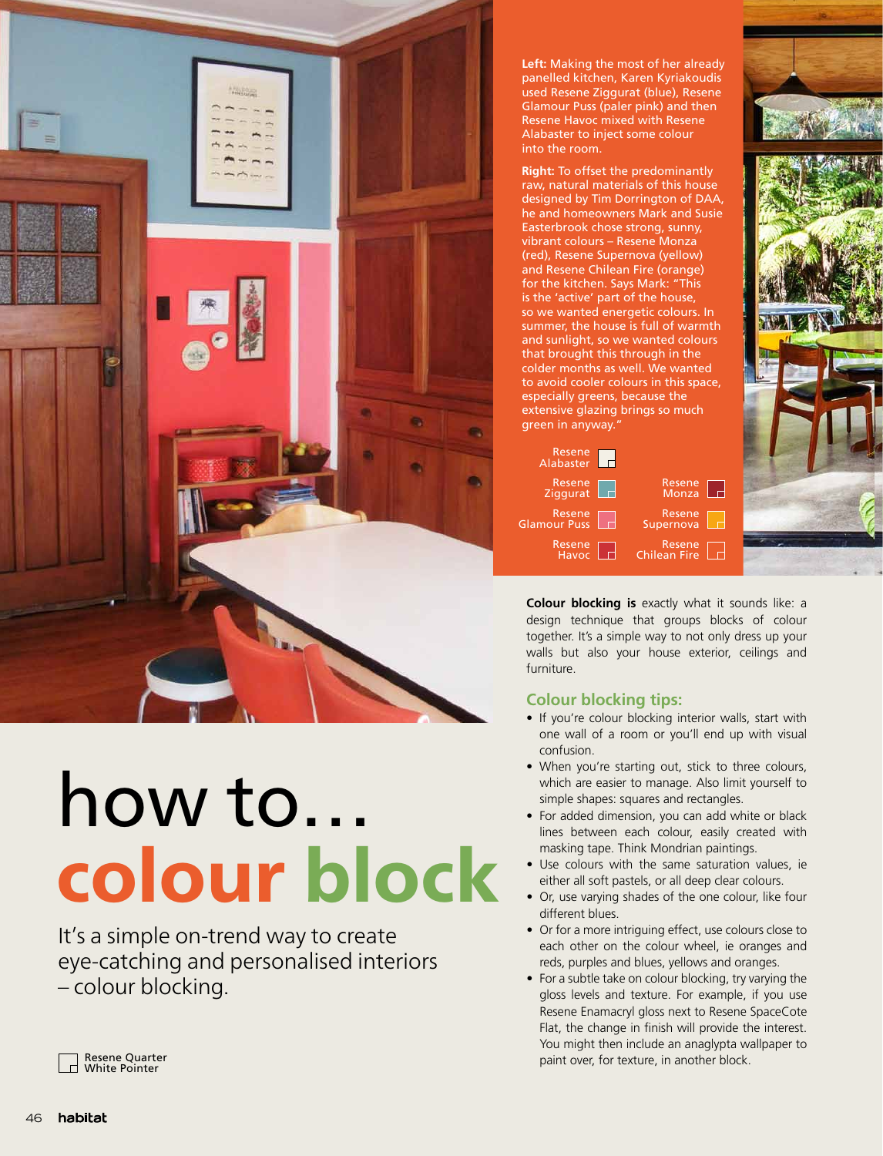

## how to… colour block

It's a simple on-trend way to create eye-catching and personalised interiors – colour blocking.

**Left:** Making the most of her already panelled kitchen, Karen Kyriakoudis used Resene Ziggurat (blue), Resene Glamour Puss (paler pink) and then Resene Havoc mixed with Resene Alabaster to inject some colour into the room.

**Right:** To offset the predominantly raw, natural materials of this house designed by Tim Dorrington of DAA, he and homeowners Mark and Susie Easterbrook chose strong, sunny, vibrant colours – Resene Monza (red), Resene Supernova (yellow) and Resene Chilean Fire (orange) for the kitchen. Says Mark: "This is the 'active' part of the house, so we wanted energetic colours. In summer, the house is full of warmth and sunlight, so we wanted colours that brought this through in the colder months as well. We wanted to avoid cooler colours in this space, especially greens, because the extensive glazing brings so much green in anyway."

| Resene<br>Alabaster           |                        |  |
|-------------------------------|------------------------|--|
| Resene $\Box$<br>Ziggurat     | Resene<br>Monza        |  |
| Resene<br><b>Glamour Puss</b> | Resene<br>Supernova    |  |
| Resene<br>Havoc               | Resene<br>Chilean Fire |  |



**Colour blocking is** exactly what it sounds like: a design technique that groups blocks of colour together. It's a simple way to not only dress up your walls but also your house exterior, ceilings and furniture.

## **Colour blocking tips:**

- If you're colour blocking interior walls, start with one wall of a room or you'll end up with visual confusion.
- When you're starting out, stick to three colours, which are easier to manage. Also limit yourself to simple shapes: squares and rectangles.
- For added dimension, you can add white or black lines between each colour, easily created with masking tape. Think Mondrian paintings.
- Use colours with the same saturation values, ie either all soft pastels, or all deep clear colours.
- Or, use varying shades of the one colour, like four different blues.
- Or for a more intriguing effect, use colours close to each other on the colour wheel, ie oranges and reds, purples and blues, yellows and oranges.
- For a subtle take on colour blocking, try varying the gloss levels and texture. For example, if you use Resene Enamacryl gloss next to Resene SpaceCote Flat, the change in finish will provide the interest. You might then include an anaglypta wallpaper to paint over, for texture, in another block.

Resene Quarter White Pointer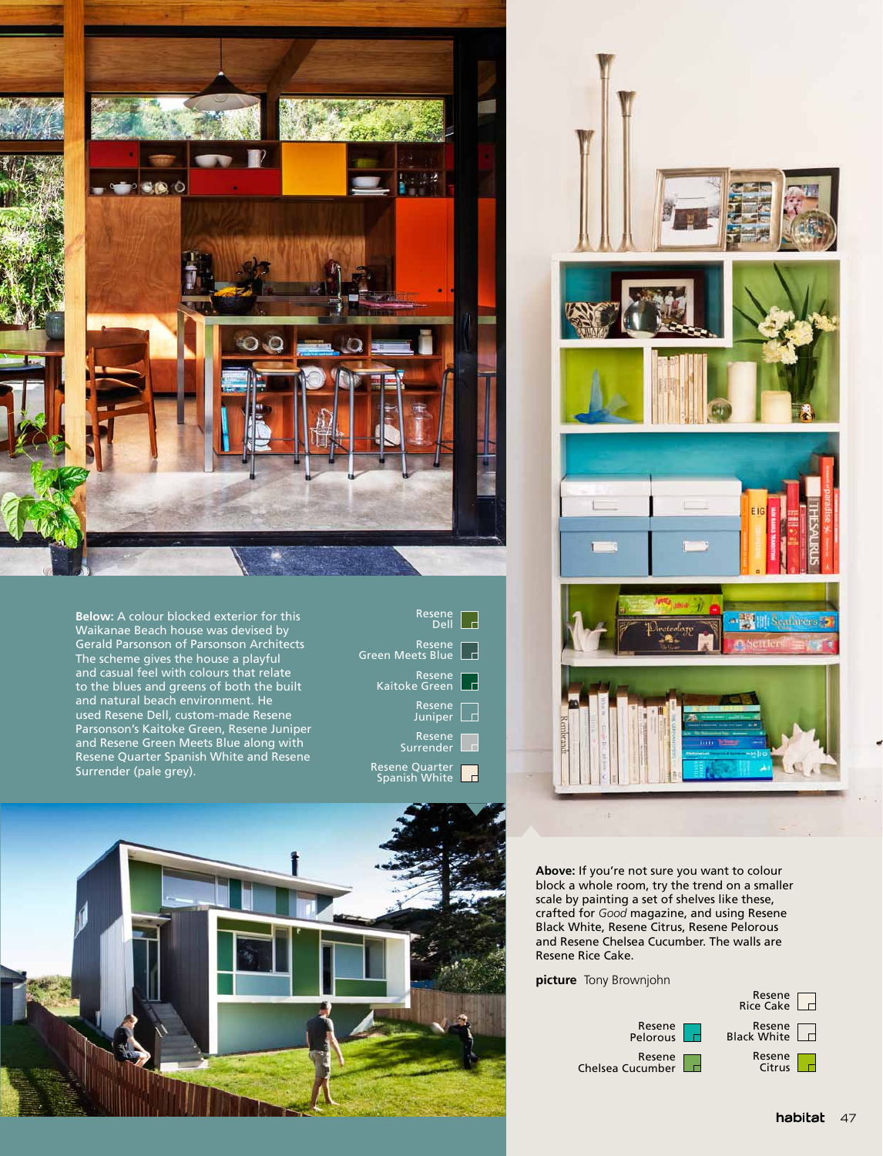

**Below:** A colour blocked exterior for this Waikanae Beach house was devised by Gerald Parsonson of Parsonson Architects The scheme gives the house a playful and casual feel with colours that relate to the blues and greens of both the built and natural beach environment. He used Resene Dell, custom-made Resene Parsonson's Kaitoke Green, Resene Juniper and Resene Green Meets Blue along with Resene Quarter Spanish White and Resene Surrender (pale grey).

| Resene<br>Dell                    |  |
|-----------------------------------|--|
| Resene<br><b>Green Meets Blue</b> |  |
| Resene<br>Kaitoke Green           |  |
| Resene<br>Juniper                 |  |
| Resene<br>Surrender               |  |
| Resene Quarter<br>Spanish White   |  |





**Above:** If you're not sure you want to colour block a whole room, try the trend on a smaller scale by painting a set of shelves like these, crafted for *Good* magazine, and using Resene Black White, Resene Citrus, Resene Pelorous and Resene Chelsea Cucumber. The walls are Resene Rice Cake.

**picture** Tony Brownjohn